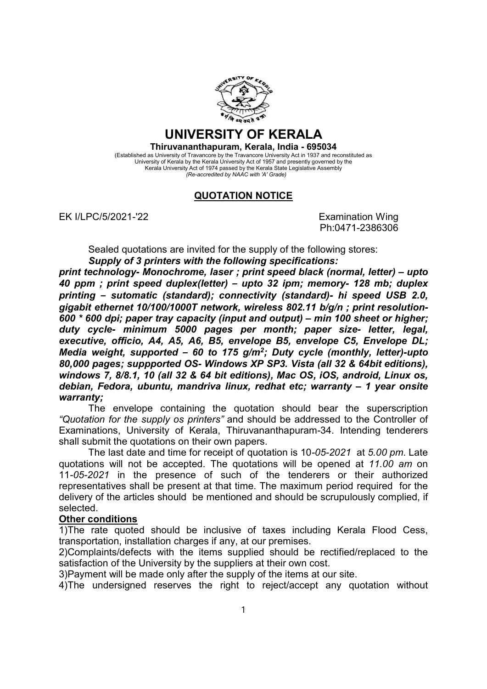

## UNIVERSITY OF KERALA

## Thiruvananthapuram, Kerala, India - 695034

(Established as University of Travancore by the Travancore University Act in 1937 and reconstituted as University of Kerala by the Kerala University Act of 1957 and presently governed by the Kerala University Act of 1974 passed by the Kerala State Legislative Assembly (Re-accredited by NAAC with 'A' Grade)

## QUOTATION NOTICE

EK I/LPC/5/2021-'22 **EXAMILIER EXAMINATION CONSUMING** 

Ph:0471-2386306

Sealed quotations are invited for the supply of the following stores: Supply of 3 printers with the following specifications:

print technology- Monochrome, laser ; print speed black (normal, letter) – upto 40 ppm ; print speed duplex(letter) – upto 32 ipm; memory- 128 mb; duplex printing – sutomatic (standard); connectivity (standard)- hi speed USB 2.0, gigabit ethernet 10/100/1000T network, wireless 802.11 b/g/n ; print resolution-600 \* 600 dpi; paper tray capacity (input and output) – min 100 sheet or higher; duty cycle- minimum 5000 pages per month; paper size- letter, legal, executive, officio, A4, A5, A6, B5, envelope B5, envelope C5, Envelope DL; Media weight, supported - 60 to 175 g/m<sup>2</sup>; Duty cycle (monthly, letter)-upto 80,000 pages; suppported OS- Windows XP SP3. Vista (all 32 & 64bit editions), windows 7, 8/8.1, 10 (all 32 & 64 bit editions), Mac OS, iOS, android, Linux os, debian, Fedora, ubuntu, mandriva linux, redhat etc; warranty – 1 year onsite warranty;

The envelope containing the quotation should bear the superscription "Quotation for the supply os printers" and should be addressed to the Controller of Examinations, University of Kerala, Thiruvananthapuram-34. Intending tenderers shall submit the quotations on their own papers.

The last date and time for receipt of quotation is 10-05-2021 at 5.00 pm. Late quotations will not be accepted. The quotations will be opened at 11.00 am on 11-05-2021 in the presence of such of the tenderers or their authorized representatives shall be present at that time. The maximum period required for the delivery of the articles should be mentioned and should be scrupulously complied, if selected.

## Other conditions

1)The rate quoted should be inclusive of taxes including Kerala Flood Cess, transportation, installation charges if any, at our premises.

2)Complaints/defects with the items supplied should be rectified/replaced to the satisfaction of the University by the suppliers at their own cost.

3)Payment will be made only after the supply of the items at our site.

4)The undersigned reserves the right to reject/accept any quotation without